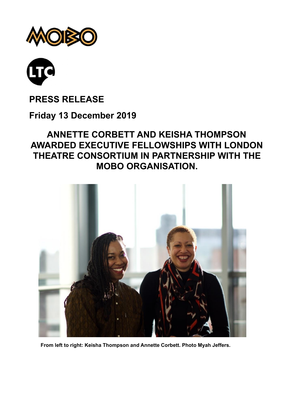



# **PRESS RELEASE**

### **Friday 13 December 2019**

## **ANNETTE CORBETT AND KEISHA THOMPSON AWARDED EXECUTIVE FELLOWSHIPS WITH LONDON THEATRE CONSORTIUM IN PARTNERSHIP WITH THE MOBO ORGANISATION.**



**From left to right: Keisha Thompson and Annette Corbett. Photo Myah Jeffers.**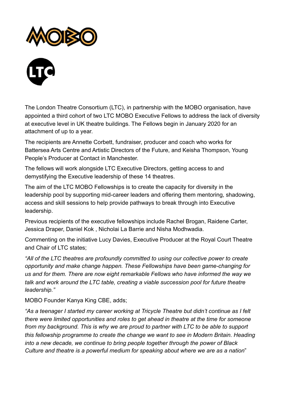



The London Theatre Consortium (LTC), in partnership with the MOBO organisation, have appointed a third cohort of two LTC MOBO Executive Fellows to address the lack of diversity at executive level in UK theatre buildings. The Fellows begin in January 2020 for an attachment of up to a year.

The recipients are Annette Corbett, fundraiser, producer and coach who works for Battersea Arts Centre and Artistic Directors of the Future, and Keisha Thompson, Young People's Producer at Contact in Manchester.

The fellows will work alongside LTC Executive Directors, getting access to and demystifying the Executive leadership of these 14 theatres.

The aim of the LTC MOBO Fellowships is to create the capacity for diversity in the leadership pool by supporting mid-career leaders and offering them mentoring, shadowing, access and skill sessions to help provide pathways to break through into Executive leadership.

Previous recipients of the executive fellowships include Rachel Brogan, Raidene Carter, Jessica Draper, Daniel Kok , Nicholai La Barrie and Nisha Modhwadia.

Commenting on the initiative Lucy Davies, Executive Producer at the Royal Court Theatre and Chair of LTC states;

*"All of the LTC theatres are profoundly committed to using our collective power to create opportunity and make change happen. These Fellowships have been game-changing for us and for them. There are now eight remarkable Fellows who have informed the way we talk and work around the LTC table, creating a viable succession pool for future theatre leadership."* 

MOBO Founder Kanya King CBE, adds;

*"As a teenager I started my career working at Tricycle Theatre but didn't continue as I felt there were limited opportunities and roles to get ahead in theatre at the time for someone from my background. This is why we are proud to partner with LTC to be able to support this fellowship programme to create the change we want to see in Modern Britain. Heading into a new decade, we continue to bring people together through the power of Black Culture and theatre is a powerful medium for speaking about where we are as a nation*"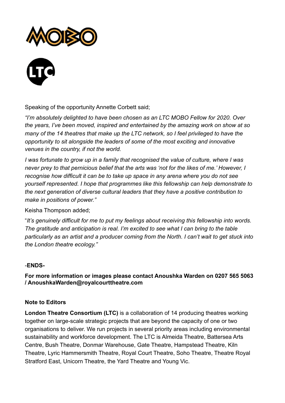



Speaking of the opportunity Annette Corbett said;

*"I'm absolutely delighted to have been chosen as an LTC MOBO Fellow for 2020. Over the years, I've been moved, inspired and entertained by the amazing work on show at so many of the 14 theatres that make up the LTC network, so I feel privileged to have the opportunity to sit alongside the leaders of some of the most exciting and innovative venues in the country, if not the world.* 

*I was fortunate to grow up in a family that recognised the value of culture, where I was never prey to that pernicious belief that the arts was 'not for the likes of me.' However, I recognise how difficult it can be to take up space in any arena where you do not see yourself represented. I hope that programmes like this fellowship can help demonstrate to the next generation of diverse cultural leaders that they have a positive contribution to make in positions of power."* 

Keisha Thompson added;

"*It's genuinely difficult for me to put my feelings about receiving this fellowship into words. The gratitude and anticipation is real. I'm excited to see what I can bring to the table particularly as an artist and a producer coming from the North. I can't wait to get stuck into the London theatre ecology."* 

### -**ENDS-**

**For more information or images please contact Anoushka Warden on 0207 565 5063 / AnoushkaWarden@royalcourttheatre.com** 

### **Note to Editors**

**London Theatre Consortium (LTC)** is a collaboration of 14 producing theatres working together on large-scale strategic projects that are beyond the capacity of one or two organisations to deliver. We run projects in several priority areas including environmental sustainability and workforce development. The LTC is Almeida Theatre, Battersea Arts Centre, Bush Theatre, Donmar Warehouse, Gate Theatre, Hampstead Theatre, Kiln Theatre, Lyric Hammersmith Theatre, Royal Court Theatre, Soho Theatre, Theatre Royal Stratford East, Unicorn Theatre, the Yard Theatre and Young Vic.